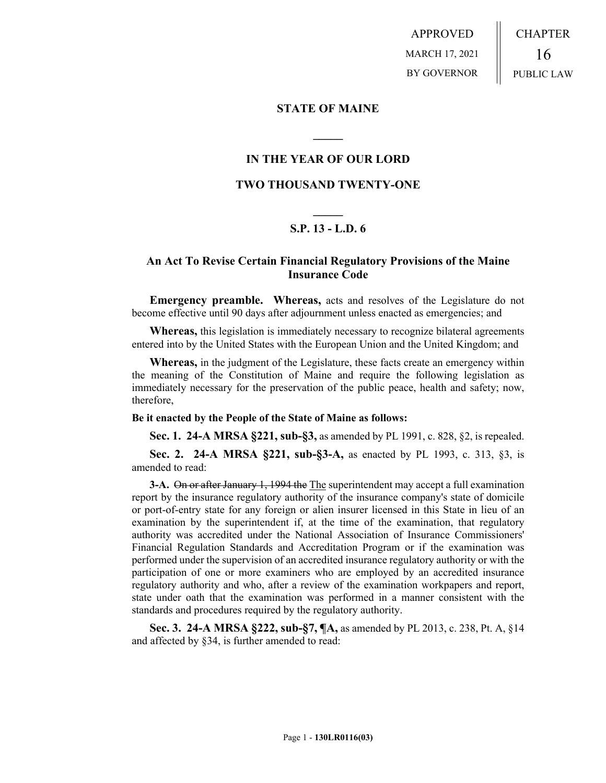APPROVED MARCH 17, 2021 BY GOVERNOR CHAPTER 16 PUBLIC LAW

### **STATE OF MAINE**

## **IN THE YEAR OF OUR LORD**

**\_\_\_\_\_**

## **TWO THOUSAND TWENTY-ONE**

# **\_\_\_\_\_ S.P. 13 - L.D. 6**

## **An Act To Revise Certain Financial Regulatory Provisions of the Maine Insurance Code**

**Emergency preamble. Whereas,** acts and resolves of the Legislature do not become effective until 90 days after adjournment unless enacted as emergencies; and

**Whereas,** this legislation is immediately necessary to recognize bilateral agreements entered into by the United States with the European Union and the United Kingdom; and

**Whereas,** in the judgment of the Legislature, these facts create an emergency within the meaning of the Constitution of Maine and require the following legislation as immediately necessary for the preservation of the public peace, health and safety; now, therefore,

#### **Be it enacted by the People of the State of Maine as follows:**

**Sec. 1. 24-A MRSA §221, sub-§3,** as amended by PL 1991, c. 828, §2, is repealed.

**Sec. 2. 24-A MRSA §221, sub-§3-A,** as enacted by PL 1993, c. 313, §3, is amended to read:

**3-A.** On or after January 1, 1994 the The superintendent may accept a full examination report by the insurance regulatory authority of the insurance company's state of domicile or port-of-entry state for any foreign or alien insurer licensed in this State in lieu of an examination by the superintendent if, at the time of the examination, that regulatory authority was accredited under the National Association of Insurance Commissioners' Financial Regulation Standards and Accreditation Program or if the examination was performed under the supervision of an accredited insurance regulatory authority or with the participation of one or more examiners who are employed by an accredited insurance regulatory authority and who, after a review of the examination workpapers and report, state under oath that the examination was performed in a manner consistent with the standards and procedures required by the regulatory authority.

**Sec. 3. 24-A MRSA §222, sub-§7, ¶A,** as amended by PL 2013, c. 238, Pt. A, §14 and affected by §34, is further amended to read: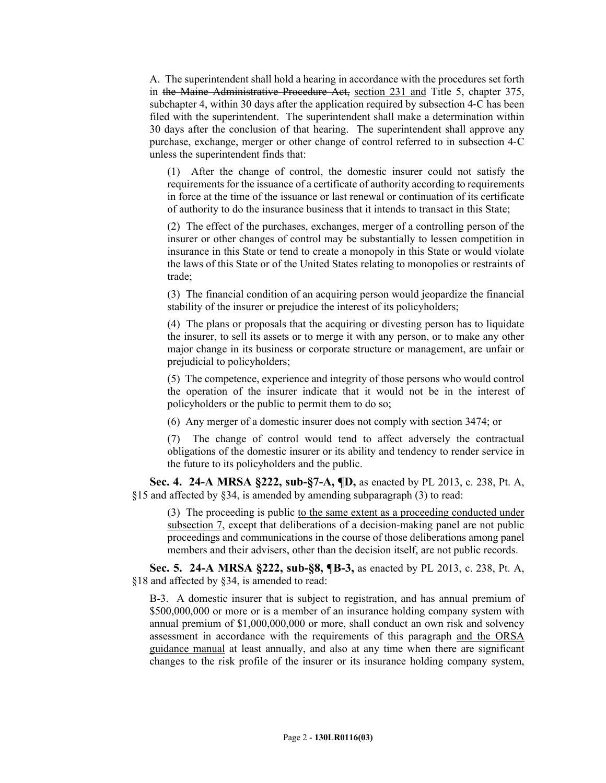A. The superintendent shall hold a hearing in accordance with the procedures set forth in the Maine Administrative Procedure Act, section 231 and Title 5, chapter 375, subchapter 4, within 30 days after the application required by subsection 4‑C has been filed with the superintendent. The superintendent shall make a determination within 30 days after the conclusion of that hearing. The superintendent shall approve any purchase, exchange, merger or other change of control referred to in subsection 4‑C unless the superintendent finds that:

(1) After the change of control, the domestic insurer could not satisfy the requirements for the issuance of a certificate of authority according to requirements in force at the time of the issuance or last renewal or continuation of its certificate of authority to do the insurance business that it intends to transact in this State;

(2) The effect of the purchases, exchanges, merger of a controlling person of the insurer or other changes of control may be substantially to lessen competition in insurance in this State or tend to create a monopoly in this State or would violate the laws of this State or of the United States relating to monopolies or restraints of trade;

(3) The financial condition of an acquiring person would jeopardize the financial stability of the insurer or prejudice the interest of its policyholders;

(4) The plans or proposals that the acquiring or divesting person has to liquidate the insurer, to sell its assets or to merge it with any person, or to make any other major change in its business or corporate structure or management, are unfair or prejudicial to policyholders;

(5) The competence, experience and integrity of those persons who would control the operation of the insurer indicate that it would not be in the interest of policyholders or the public to permit them to do so;

(6) Any merger of a domestic insurer does not comply with section 3474; or

(7) The change of control would tend to affect adversely the contractual obligations of the domestic insurer or its ability and tendency to render service in the future to its policyholders and the public.

**Sec. 4. 24-A MRSA §222, sub-§7-A, ¶D,** as enacted by PL 2013, c. 238, Pt. A, §15 and affected by §34, is amended by amending subparagraph (3) to read:

(3) The proceeding is public to the same extent as a proceeding conducted under subsection 7, except that deliberations of a decision-making panel are not public proceedings and communications in the course of those deliberations among panel members and their advisers, other than the decision itself, are not public records.

**Sec. 5. 24-A MRSA §222, sub-§8, ¶B-3,** as enacted by PL 2013, c. 238, Pt. A, §18 and affected by §34, is amended to read:

B-3. A domestic insurer that is subject to registration, and has annual premium of \$500,000,000 or more or is a member of an insurance holding company system with annual premium of \$1,000,000,000 or more, shall conduct an own risk and solvency assessment in accordance with the requirements of this paragraph and the ORSA guidance manual at least annually, and also at any time when there are significant changes to the risk profile of the insurer or its insurance holding company system,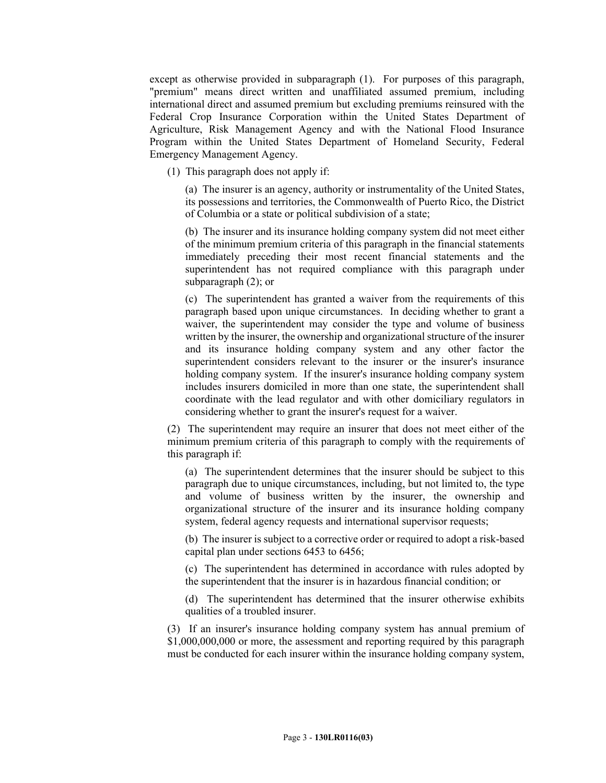except as otherwise provided in subparagraph (1). For purposes of this paragraph, "premium" means direct written and unaffiliated assumed premium, including international direct and assumed premium but excluding premiums reinsured with the Federal Crop Insurance Corporation within the United States Department of Agriculture, Risk Management Agency and with the National Flood Insurance Program within the United States Department of Homeland Security, Federal Emergency Management Agency.

(1) This paragraph does not apply if:

(a) The insurer is an agency, authority or instrumentality of the United States, its possessions and territories, the Commonwealth of Puerto Rico, the District of Columbia or a state or political subdivision of a state;

(b) The insurer and its insurance holding company system did not meet either of the minimum premium criteria of this paragraph in the financial statements immediately preceding their most recent financial statements and the superintendent has not required compliance with this paragraph under subparagraph (2); or

(c) The superintendent has granted a waiver from the requirements of this paragraph based upon unique circumstances. In deciding whether to grant a waiver, the superintendent may consider the type and volume of business written by the insurer, the ownership and organizational structure of the insurer and its insurance holding company system and any other factor the superintendent considers relevant to the insurer or the insurer's insurance holding company system. If the insurer's insurance holding company system includes insurers domiciled in more than one state, the superintendent shall coordinate with the lead regulator and with other domiciliary regulators in considering whether to grant the insurer's request for a waiver.

(2) The superintendent may require an insurer that does not meet either of the minimum premium criteria of this paragraph to comply with the requirements of this paragraph if:

(a) The superintendent determines that the insurer should be subject to this paragraph due to unique circumstances, including, but not limited to, the type and volume of business written by the insurer, the ownership and organizational structure of the insurer and its insurance holding company system, federal agency requests and international supervisor requests;

(b) The insurer is subject to a corrective order or required to adopt a risk-based capital plan under sections 6453 to 6456;

(c) The superintendent has determined in accordance with rules adopted by the superintendent that the insurer is in hazardous financial condition; or

(d) The superintendent has determined that the insurer otherwise exhibits qualities of a troubled insurer.

(3) If an insurer's insurance holding company system has annual premium of \$1,000,000,000 or more, the assessment and reporting required by this paragraph must be conducted for each insurer within the insurance holding company system,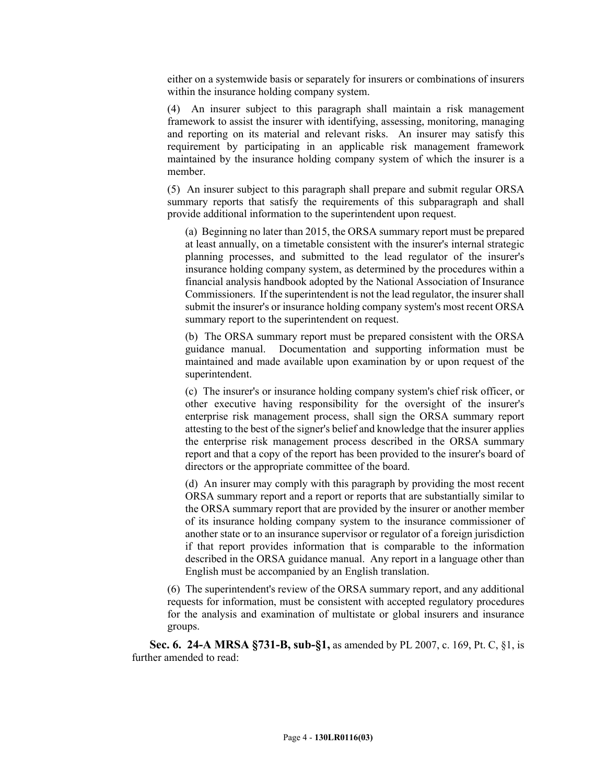either on a systemwide basis or separately for insurers or combinations of insurers within the insurance holding company system.

(4) An insurer subject to this paragraph shall maintain a risk management framework to assist the insurer with identifying, assessing, monitoring, managing and reporting on its material and relevant risks. An insurer may satisfy this requirement by participating in an applicable risk management framework maintained by the insurance holding company system of which the insurer is a member.

(5) An insurer subject to this paragraph shall prepare and submit regular ORSA summary reports that satisfy the requirements of this subparagraph and shall provide additional information to the superintendent upon request.

(a) Beginning no later than 2015, the ORSA summary report must be prepared at least annually, on a timetable consistent with the insurer's internal strategic planning processes, and submitted to the lead regulator of the insurer's insurance holding company system, as determined by the procedures within a financial analysis handbook adopted by the National Association of Insurance Commissioners. If the superintendent is not the lead regulator, the insurer shall submit the insurer's or insurance holding company system's most recent ORSA summary report to the superintendent on request.

(b) The ORSA summary report must be prepared consistent with the ORSA guidance manual. Documentation and supporting information must be maintained and made available upon examination by or upon request of the superintendent.

(c) The insurer's or insurance holding company system's chief risk officer, or other executive having responsibility for the oversight of the insurer's enterprise risk management process, shall sign the ORSA summary report attesting to the best of the signer's belief and knowledge that the insurer applies the enterprise risk management process described in the ORSA summary report and that a copy of the report has been provided to the insurer's board of directors or the appropriate committee of the board.

(d) An insurer may comply with this paragraph by providing the most recent ORSA summary report and a report or reports that are substantially similar to the ORSA summary report that are provided by the insurer or another member of its insurance holding company system to the insurance commissioner of another state or to an insurance supervisor or regulator of a foreign jurisdiction if that report provides information that is comparable to the information described in the ORSA guidance manual. Any report in a language other than English must be accompanied by an English translation.

(6) The superintendent's review of the ORSA summary report, and any additional requests for information, must be consistent with accepted regulatory procedures for the analysis and examination of multistate or global insurers and insurance groups.

**Sec. 6. 24-A MRSA §731-B, sub-§1,** as amended by PL 2007, c. 169, Pt. C, §1, is further amended to read: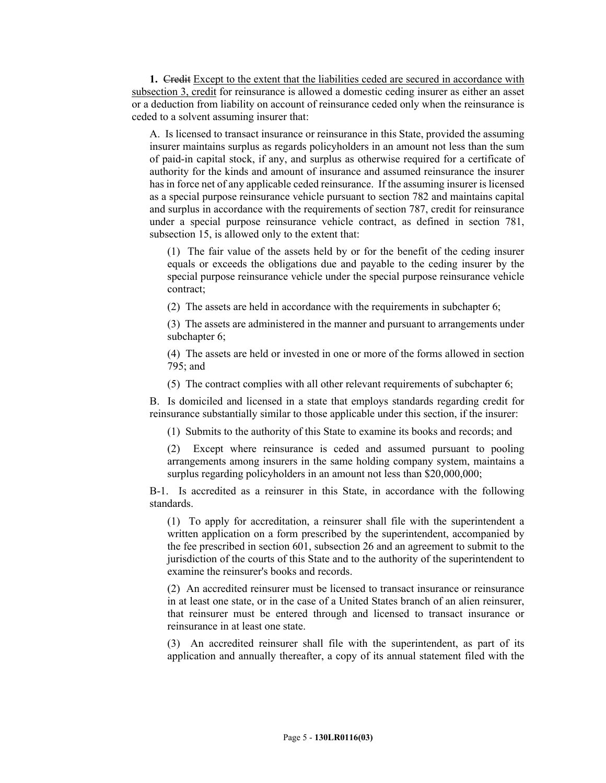**1.** Credit Except to the extent that the liabilities ceded are secured in accordance with subsection 3, credit for reinsurance is allowed a domestic ceding insurer as either an asset or a deduction from liability on account of reinsurance ceded only when the reinsurance is ceded to a solvent assuming insurer that:

A. Is licensed to transact insurance or reinsurance in this State, provided the assuming insurer maintains surplus as regards policyholders in an amount not less than the sum of paid-in capital stock, if any, and surplus as otherwise required for a certificate of authority for the kinds and amount of insurance and assumed reinsurance the insurer has in force net of any applicable ceded reinsurance. If the assuming insurer is licensed as a special purpose reinsurance vehicle pursuant to section 782 and maintains capital and surplus in accordance with the requirements of section 787, credit for reinsurance under a special purpose reinsurance vehicle contract, as defined in section 781, subsection 15, is allowed only to the extent that:

(1) The fair value of the assets held by or for the benefit of the ceding insurer equals or exceeds the obligations due and payable to the ceding insurer by the special purpose reinsurance vehicle under the special purpose reinsurance vehicle contract;

(2) The assets are held in accordance with the requirements in subchapter 6;

(3) The assets are administered in the manner and pursuant to arrangements under subchapter 6;

(4) The assets are held or invested in one or more of the forms allowed in section 795; and

(5) The contract complies with all other relevant requirements of subchapter 6;

B. Is domiciled and licensed in a state that employs standards regarding credit for reinsurance substantially similar to those applicable under this section, if the insurer:

(1) Submits to the authority of this State to examine its books and records; and

(2) Except where reinsurance is ceded and assumed pursuant to pooling arrangements among insurers in the same holding company system, maintains a surplus regarding policyholders in an amount not less than \$20,000,000;

B-1. Is accredited as a reinsurer in this State, in accordance with the following standards.

(1) To apply for accreditation, a reinsurer shall file with the superintendent a written application on a form prescribed by the superintendent, accompanied by the fee prescribed in section 601, subsection 26 and an agreement to submit to the jurisdiction of the courts of this State and to the authority of the superintendent to examine the reinsurer's books and records.

(2) An accredited reinsurer must be licensed to transact insurance or reinsurance in at least one state, or in the case of a United States branch of an alien reinsurer, that reinsurer must be entered through and licensed to transact insurance or reinsurance in at least one state.

(3) An accredited reinsurer shall file with the superintendent, as part of its application and annually thereafter, a copy of its annual statement filed with the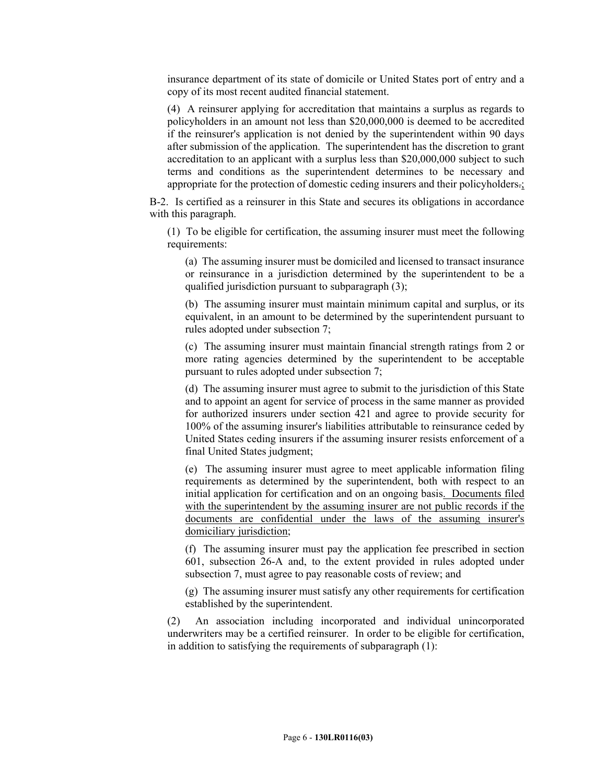insurance department of its state of domicile or United States port of entry and a copy of its most recent audited financial statement.

(4) A reinsurer applying for accreditation that maintains a surplus as regards to policyholders in an amount not less than \$20,000,000 is deemed to be accredited if the reinsurer's application is not denied by the superintendent within 90 days after submission of the application. The superintendent has the discretion to grant accreditation to an applicant with a surplus less than \$20,000,000 subject to such terms and conditions as the superintendent determines to be necessary and appropriate for the protection of domestic ceding insurers and their policyholders.;

B-2. Is certified as a reinsurer in this State and secures its obligations in accordance with this paragraph.

(1) To be eligible for certification, the assuming insurer must meet the following requirements:

(a) The assuming insurer must be domiciled and licensed to transact insurance or reinsurance in a jurisdiction determined by the superintendent to be a qualified jurisdiction pursuant to subparagraph (3);

(b) The assuming insurer must maintain minimum capital and surplus, or its equivalent, in an amount to be determined by the superintendent pursuant to rules adopted under subsection 7;

(c) The assuming insurer must maintain financial strength ratings from 2 or more rating agencies determined by the superintendent to be acceptable pursuant to rules adopted under subsection 7;

(d) The assuming insurer must agree to submit to the jurisdiction of this State and to appoint an agent for service of process in the same manner as provided for authorized insurers under section 421 and agree to provide security for 100% of the assuming insurer's liabilities attributable to reinsurance ceded by United States ceding insurers if the assuming insurer resists enforcement of a final United States judgment;

(e) The assuming insurer must agree to meet applicable information filing requirements as determined by the superintendent, both with respect to an initial application for certification and on an ongoing basis. Documents filed with the superintendent by the assuming insurer are not public records if the documents are confidential under the laws of the assuming insurer's domiciliary jurisdiction;

(f) The assuming insurer must pay the application fee prescribed in section 601, subsection 26-A and, to the extent provided in rules adopted under subsection 7, must agree to pay reasonable costs of review; and

(g) The assuming insurer must satisfy any other requirements for certification established by the superintendent.

(2) An association including incorporated and individual unincorporated underwriters may be a certified reinsurer. In order to be eligible for certification, in addition to satisfying the requirements of subparagraph (1):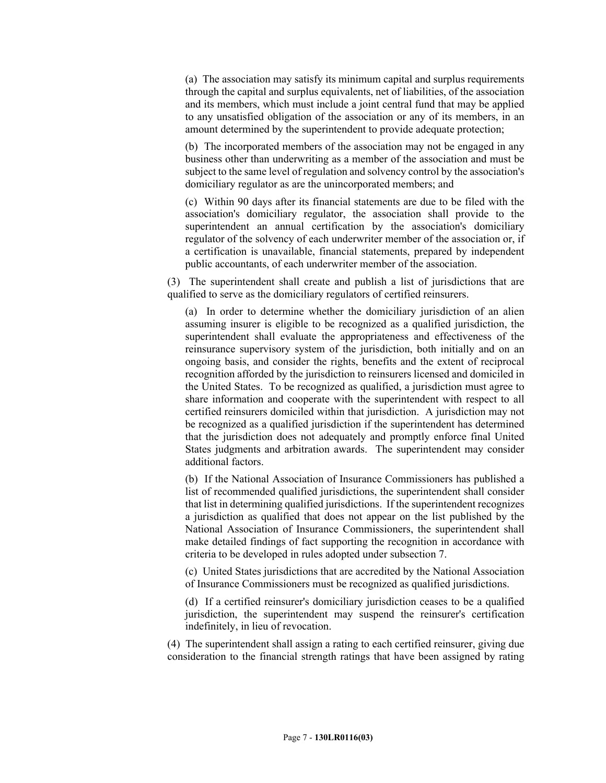(a) The association may satisfy its minimum capital and surplus requirements through the capital and surplus equivalents, net of liabilities, of the association and its members, which must include a joint central fund that may be applied to any unsatisfied obligation of the association or any of its members, in an amount determined by the superintendent to provide adequate protection;

(b) The incorporated members of the association may not be engaged in any business other than underwriting as a member of the association and must be subject to the same level of regulation and solvency control by the association's domiciliary regulator as are the unincorporated members; and

(c) Within 90 days after its financial statements are due to be filed with the association's domiciliary regulator, the association shall provide to the superintendent an annual certification by the association's domiciliary regulator of the solvency of each underwriter member of the association or, if a certification is unavailable, financial statements, prepared by independent public accountants, of each underwriter member of the association.

(3) The superintendent shall create and publish a list of jurisdictions that are qualified to serve as the domiciliary regulators of certified reinsurers.

(a) In order to determine whether the domiciliary jurisdiction of an alien assuming insurer is eligible to be recognized as a qualified jurisdiction, the superintendent shall evaluate the appropriateness and effectiveness of the reinsurance supervisory system of the jurisdiction, both initially and on an ongoing basis, and consider the rights, benefits and the extent of reciprocal recognition afforded by the jurisdiction to reinsurers licensed and domiciled in the United States. To be recognized as qualified, a jurisdiction must agree to share information and cooperate with the superintendent with respect to all certified reinsurers domiciled within that jurisdiction. A jurisdiction may not be recognized as a qualified jurisdiction if the superintendent has determined that the jurisdiction does not adequately and promptly enforce final United States judgments and arbitration awards. The superintendent may consider additional factors.

(b) If the National Association of Insurance Commissioners has published a list of recommended qualified jurisdictions, the superintendent shall consider that list in determining qualified jurisdictions. If the superintendent recognizes a jurisdiction as qualified that does not appear on the list published by the National Association of Insurance Commissioners, the superintendent shall make detailed findings of fact supporting the recognition in accordance with criteria to be developed in rules adopted under subsection 7.

(c) United States jurisdictions that are accredited by the National Association of Insurance Commissioners must be recognized as qualified jurisdictions.

(d) If a certified reinsurer's domiciliary jurisdiction ceases to be a qualified jurisdiction, the superintendent may suspend the reinsurer's certification indefinitely, in lieu of revocation.

(4) The superintendent shall assign a rating to each certified reinsurer, giving due consideration to the financial strength ratings that have been assigned by rating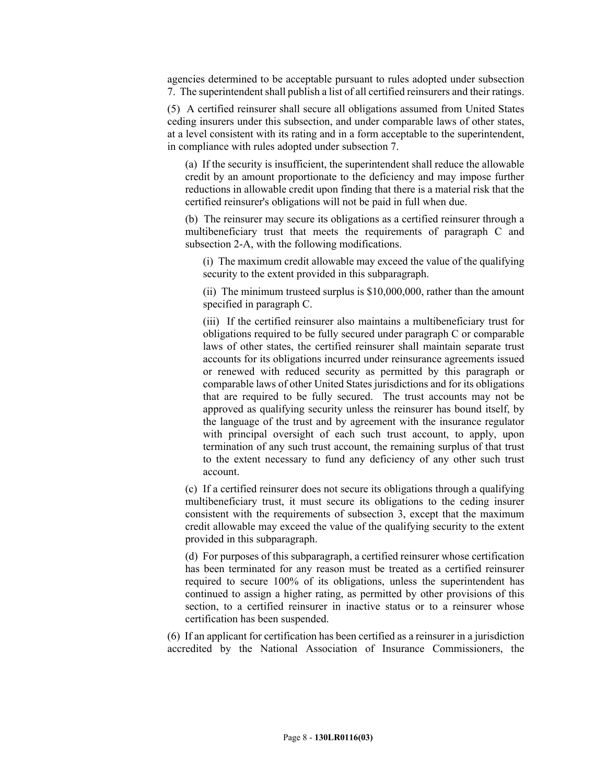agencies determined to be acceptable pursuant to rules adopted under subsection 7. The superintendent shall publish a list of all certified reinsurers and their ratings.

(5) A certified reinsurer shall secure all obligations assumed from United States ceding insurers under this subsection, and under comparable laws of other states, at a level consistent with its rating and in a form acceptable to the superintendent, in compliance with rules adopted under subsection 7.

(a) If the security is insufficient, the superintendent shall reduce the allowable credit by an amount proportionate to the deficiency and may impose further reductions in allowable credit upon finding that there is a material risk that the certified reinsurer's obligations will not be paid in full when due.

(b) The reinsurer may secure its obligations as a certified reinsurer through a multibeneficiary trust that meets the requirements of paragraph C and subsection 2-A, with the following modifications.

(i) The maximum credit allowable may exceed the value of the qualifying security to the extent provided in this subparagraph.

(ii) The minimum trusteed surplus is \$10,000,000, rather than the amount specified in paragraph C.

(iii) If the certified reinsurer also maintains a multibeneficiary trust for obligations required to be fully secured under paragraph C or comparable laws of other states, the certified reinsurer shall maintain separate trust accounts for its obligations incurred under reinsurance agreements issued or renewed with reduced security as permitted by this paragraph or comparable laws of other United States jurisdictions and for its obligations that are required to be fully secured. The trust accounts may not be approved as qualifying security unless the reinsurer has bound itself, by the language of the trust and by agreement with the insurance regulator with principal oversight of each such trust account, to apply, upon termination of any such trust account, the remaining surplus of that trust to the extent necessary to fund any deficiency of any other such trust account.

(c) If a certified reinsurer does not secure its obligations through a qualifying multibeneficiary trust, it must secure its obligations to the ceding insurer consistent with the requirements of subsection 3, except that the maximum credit allowable may exceed the value of the qualifying security to the extent provided in this subparagraph.

(d) For purposes of this subparagraph, a certified reinsurer whose certification has been terminated for any reason must be treated as a certified reinsurer required to secure 100% of its obligations, unless the superintendent has continued to assign a higher rating, as permitted by other provisions of this section, to a certified reinsurer in inactive status or to a reinsurer whose certification has been suspended.

(6) If an applicant for certification has been certified as a reinsurer in a jurisdiction accredited by the National Association of Insurance Commissioners, the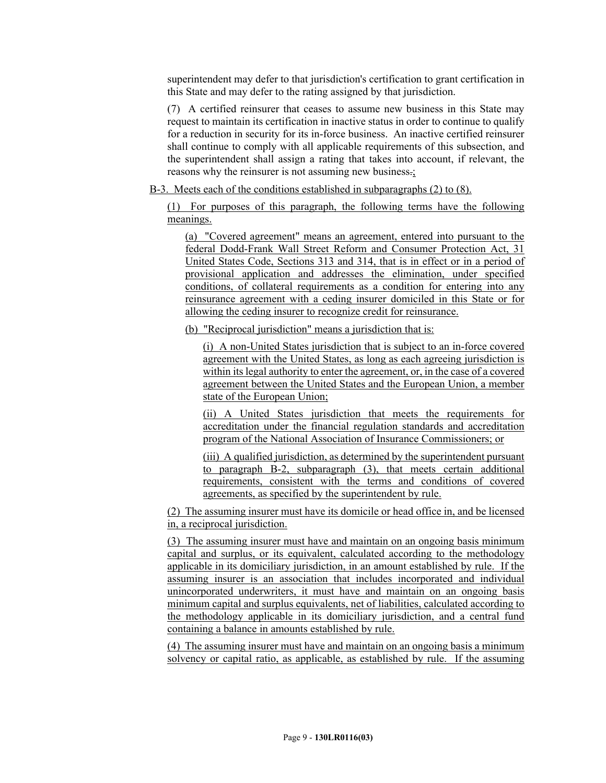superintendent may defer to that jurisdiction's certification to grant certification in this State and may defer to the rating assigned by that jurisdiction.

(7) A certified reinsurer that ceases to assume new business in this State may request to maintain its certification in inactive status in order to continue to qualify for a reduction in security for its in-force business. An inactive certified reinsurer shall continue to comply with all applicable requirements of this subsection, and the superintendent shall assign a rating that takes into account, if relevant, the reasons why the reinsurer is not assuming new business.;

B-3. Meets each of the conditions established in subparagraphs (2) to (8).

(1) For purposes of this paragraph, the following terms have the following meanings.

(a) "Covered agreement" means an agreement, entered into pursuant to the federal Dodd-Frank Wall Street Reform and Consumer Protection Act, 31 United States Code, Sections 313 and 314, that is in effect or in a period of provisional application and addresses the elimination, under specified conditions, of collateral requirements as a condition for entering into any reinsurance agreement with a ceding insurer domiciled in this State or for allowing the ceding insurer to recognize credit for reinsurance.

(b) "Reciprocal jurisdiction" means a jurisdiction that is:

(i) A non-United States jurisdiction that is subject to an in-force covered agreement with the United States, as long as each agreeing jurisdiction is within its legal authority to enter the agreement, or, in the case of a covered agreement between the United States and the European Union, a member state of the European Union;

(ii) A United States jurisdiction that meets the requirements for accreditation under the financial regulation standards and accreditation program of the National Association of Insurance Commissioners; or

(iii) A qualified jurisdiction, as determined by the superintendent pursuant to paragraph B-2, subparagraph (3), that meets certain additional requirements, consistent with the terms and conditions of covered agreements, as specified by the superintendent by rule.

(2) The assuming insurer must have its domicile or head office in, and be licensed in, a reciprocal jurisdiction.

(3) The assuming insurer must have and maintain on an ongoing basis minimum capital and surplus, or its equivalent, calculated according to the methodology applicable in its domiciliary jurisdiction, in an amount established by rule. If the assuming insurer is an association that includes incorporated and individual unincorporated underwriters, it must have and maintain on an ongoing basis minimum capital and surplus equivalents, net of liabilities, calculated according to the methodology applicable in its domiciliary jurisdiction, and a central fund containing a balance in amounts established by rule.

(4) The assuming insurer must have and maintain on an ongoing basis a minimum solvency or capital ratio, as applicable, as established by rule. If the assuming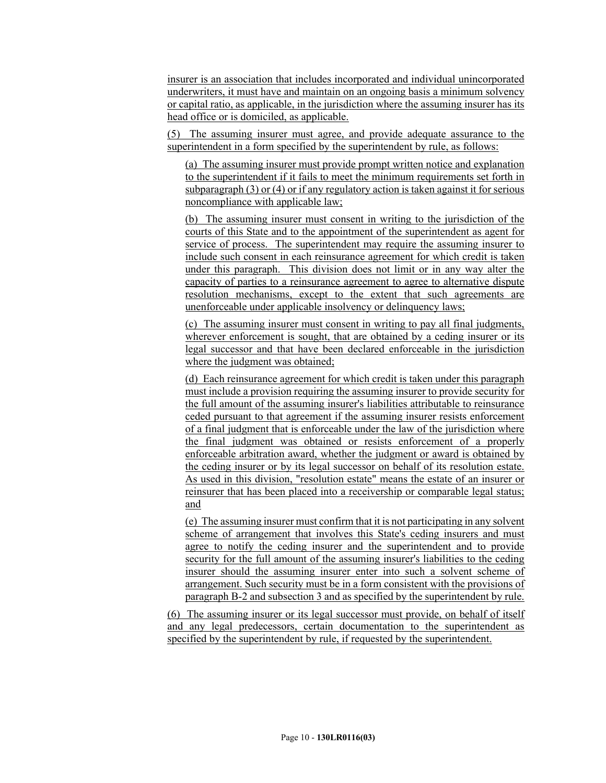insurer is an association that includes incorporated and individual unincorporated underwriters, it must have and maintain on an ongoing basis a minimum solvency or capital ratio, as applicable, in the jurisdiction where the assuming insurer has its head office or is domiciled, as applicable.

(5) The assuming insurer must agree, and provide adequate assurance to the superintendent in a form specified by the superintendent by rule, as follows:

(a) The assuming insurer must provide prompt written notice and explanation to the superintendent if it fails to meet the minimum requirements set forth in subparagraph (3) or (4) or if any regulatory action is taken against it for serious noncompliance with applicable law;

(b) The assuming insurer must consent in writing to the jurisdiction of the courts of this State and to the appointment of the superintendent as agent for service of process. The superintendent may require the assuming insurer to include such consent in each reinsurance agreement for which credit is taken under this paragraph. This division does not limit or in any way alter the capacity of parties to a reinsurance agreement to agree to alternative dispute resolution mechanisms, except to the extent that such agreements are unenforceable under applicable insolvency or delinquency laws;

(c) The assuming insurer must consent in writing to pay all final judgments, wherever enforcement is sought, that are obtained by a ceding insurer or its legal successor and that have been declared enforceable in the jurisdiction where the judgment was obtained;

(d) Each reinsurance agreement for which credit is taken under this paragraph must include a provision requiring the assuming insurer to provide security for the full amount of the assuming insurer's liabilities attributable to reinsurance ceded pursuant to that agreement if the assuming insurer resists enforcement of a final judgment that is enforceable under the law of the jurisdiction where the final judgment was obtained or resists enforcement of a properly enforceable arbitration award, whether the judgment or award is obtained by the ceding insurer or by its legal successor on behalf of its resolution estate. As used in this division, "resolution estate" means the estate of an insurer or reinsurer that has been placed into a receivership or comparable legal status; and

(e) The assuming insurer must confirm that it is not participating in any solvent scheme of arrangement that involves this State's ceding insurers and must agree to notify the ceding insurer and the superintendent and to provide security for the full amount of the assuming insurer's liabilities to the ceding insurer should the assuming insurer enter into such a solvent scheme of arrangement. Such security must be in a form consistent with the provisions of paragraph B-2 and subsection 3 and as specified by the superintendent by rule.

(6) The assuming insurer or its legal successor must provide, on behalf of itself and any legal predecessors, certain documentation to the superintendent as specified by the superintendent by rule, if requested by the superintendent.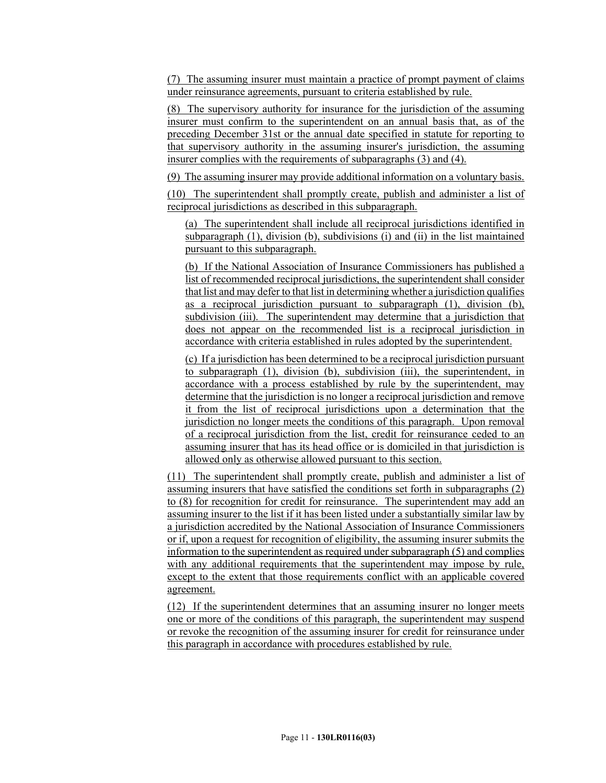(7) The assuming insurer must maintain a practice of prompt payment of claims under reinsurance agreements, pursuant to criteria established by rule.

(8) The supervisory authority for insurance for the jurisdiction of the assuming insurer must confirm to the superintendent on an annual basis that, as of the preceding December 31st or the annual date specified in statute for reporting to that supervisory authority in the assuming insurer's jurisdiction, the assuming insurer complies with the requirements of subparagraphs (3) and (4).

(9) The assuming insurer may provide additional information on a voluntary basis.

(10) The superintendent shall promptly create, publish and administer a list of reciprocal jurisdictions as described in this subparagraph.

(a) The superintendent shall include all reciprocal jurisdictions identified in subparagraph (1), division (b), subdivisions (i) and (ii) in the list maintained pursuant to this subparagraph.

(b) If the National Association of Insurance Commissioners has published a list of recommended reciprocal jurisdictions, the superintendent shall consider that list and may defer to that list in determining whether a jurisdiction qualifies as a reciprocal jurisdiction pursuant to subparagraph (1), division (b), subdivision (iii). The superintendent may determine that a jurisdiction that does not appear on the recommended list is a reciprocal jurisdiction in accordance with criteria established in rules adopted by the superintendent.

(c) If a jurisdiction has been determined to be a reciprocal jurisdiction pursuant to subparagraph (1), division (b), subdivision (iii), the superintendent, in accordance with a process established by rule by the superintendent, may determine that the jurisdiction is no longer a reciprocal jurisdiction and remove it from the list of reciprocal jurisdictions upon a determination that the jurisdiction no longer meets the conditions of this paragraph. Upon removal of a reciprocal jurisdiction from the list, credit for reinsurance ceded to an assuming insurer that has its head office or is domiciled in that jurisdiction is allowed only as otherwise allowed pursuant to this section.

(11) The superintendent shall promptly create, publish and administer a list of assuming insurers that have satisfied the conditions set forth in subparagraphs (2) to (8) for recognition for credit for reinsurance. The superintendent may add an assuming insurer to the list if it has been listed under a substantially similar law by a jurisdiction accredited by the National Association of Insurance Commissioners or if, upon a request for recognition of eligibility, the assuming insurer submits the information to the superintendent as required under subparagraph (5) and complies with any additional requirements that the superintendent may impose by rule, except to the extent that those requirements conflict with an applicable covered agreement.

(12) If the superintendent determines that an assuming insurer no longer meets one or more of the conditions of this paragraph, the superintendent may suspend or revoke the recognition of the assuming insurer for credit for reinsurance under this paragraph in accordance with procedures established by rule.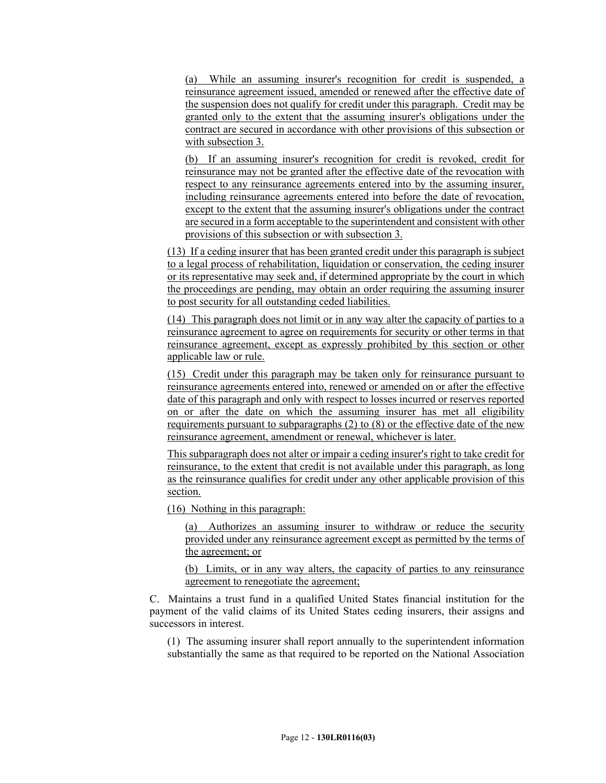(a) While an assuming insurer's recognition for credit is suspended, a reinsurance agreement issued, amended or renewed after the effective date of the suspension does not qualify for credit under this paragraph. Credit may be granted only to the extent that the assuming insurer's obligations under the contract are secured in accordance with other provisions of this subsection or with subsection 3.

(b) If an assuming insurer's recognition for credit is revoked, credit for reinsurance may not be granted after the effective date of the revocation with respect to any reinsurance agreements entered into by the assuming insurer, including reinsurance agreements entered into before the date of revocation, except to the extent that the assuming insurer's obligations under the contract are secured in a form acceptable to the superintendent and consistent with other provisions of this subsection or with subsection 3.

(13) If a ceding insurer that has been granted credit under this paragraph is subject to a legal process of rehabilitation, liquidation or conservation, the ceding insurer or its representative may seek and, if determined appropriate by the court in which the proceedings are pending, may obtain an order requiring the assuming insurer to post security for all outstanding ceded liabilities.

(14) This paragraph does not limit or in any way alter the capacity of parties to a reinsurance agreement to agree on requirements for security or other terms in that reinsurance agreement, except as expressly prohibited by this section or other applicable law or rule.

(15) Credit under this paragraph may be taken only for reinsurance pursuant to reinsurance agreements entered into, renewed or amended on or after the effective date of this paragraph and only with respect to losses incurred or reserves reported on or after the date on which the assuming insurer has met all eligibility requirements pursuant to subparagraphs (2) to (8) or the effective date of the new reinsurance agreement, amendment or renewal, whichever is later.

This subparagraph does not alter or impair a ceding insurer's right to take credit for reinsurance, to the extent that credit is not available under this paragraph, as long as the reinsurance qualifies for credit under any other applicable provision of this section.

(16) Nothing in this paragraph:

(a) Authorizes an assuming insurer to withdraw or reduce the security provided under any reinsurance agreement except as permitted by the terms of the agreement; or

(b) Limits, or in any way alters, the capacity of parties to any reinsurance agreement to renegotiate the agreement;

C. Maintains a trust fund in a qualified United States financial institution for the payment of the valid claims of its United States ceding insurers, their assigns and successors in interest.

(1) The assuming insurer shall report annually to the superintendent information substantially the same as that required to be reported on the National Association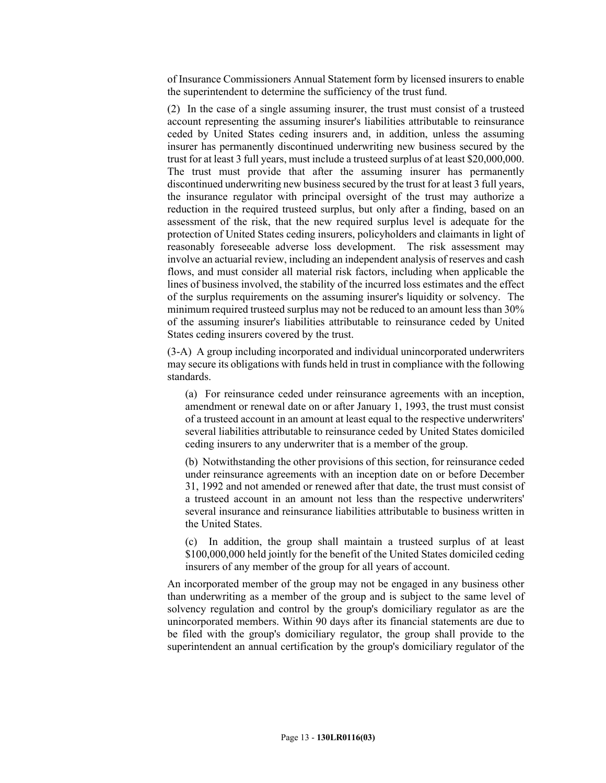of Insurance Commissioners Annual Statement form by licensed insurers to enable the superintendent to determine the sufficiency of the trust fund.

(2) In the case of a single assuming insurer, the trust must consist of a trusteed account representing the assuming insurer's liabilities attributable to reinsurance ceded by United States ceding insurers and, in addition, unless the assuming insurer has permanently discontinued underwriting new business secured by the trust for at least 3 full years, must include a trusteed surplus of at least \$20,000,000. The trust must provide that after the assuming insurer has permanently discontinued underwriting new business secured by the trust for at least 3 full years, the insurance regulator with principal oversight of the trust may authorize a reduction in the required trusteed surplus, but only after a finding, based on an assessment of the risk, that the new required surplus level is adequate for the protection of United States ceding insurers, policyholders and claimants in light of reasonably foreseeable adverse loss development. The risk assessment may involve an actuarial review, including an independent analysis of reserves and cash flows, and must consider all material risk factors, including when applicable the lines of business involved, the stability of the incurred loss estimates and the effect of the surplus requirements on the assuming insurer's liquidity or solvency. The minimum required trusteed surplus may not be reduced to an amount less than 30% of the assuming insurer's liabilities attributable to reinsurance ceded by United States ceding insurers covered by the trust.

(3-A) A group including incorporated and individual unincorporated underwriters may secure its obligations with funds held in trust in compliance with the following standards.

(a) For reinsurance ceded under reinsurance agreements with an inception, amendment or renewal date on or after January 1, 1993, the trust must consist of a trusteed account in an amount at least equal to the respective underwriters' several liabilities attributable to reinsurance ceded by United States domiciled ceding insurers to any underwriter that is a member of the group.

(b) Notwithstanding the other provisions of this section, for reinsurance ceded under reinsurance agreements with an inception date on or before December 31, 1992 and not amended or renewed after that date, the trust must consist of a trusteed account in an amount not less than the respective underwriters' several insurance and reinsurance liabilities attributable to business written in the United States.

(c) In addition, the group shall maintain a trusteed surplus of at least \$100,000,000 held jointly for the benefit of the United States domiciled ceding insurers of any member of the group for all years of account.

An incorporated member of the group may not be engaged in any business other than underwriting as a member of the group and is subject to the same level of solvency regulation and control by the group's domiciliary regulator as are the unincorporated members. Within 90 days after its financial statements are due to be filed with the group's domiciliary regulator, the group shall provide to the superintendent an annual certification by the group's domiciliary regulator of the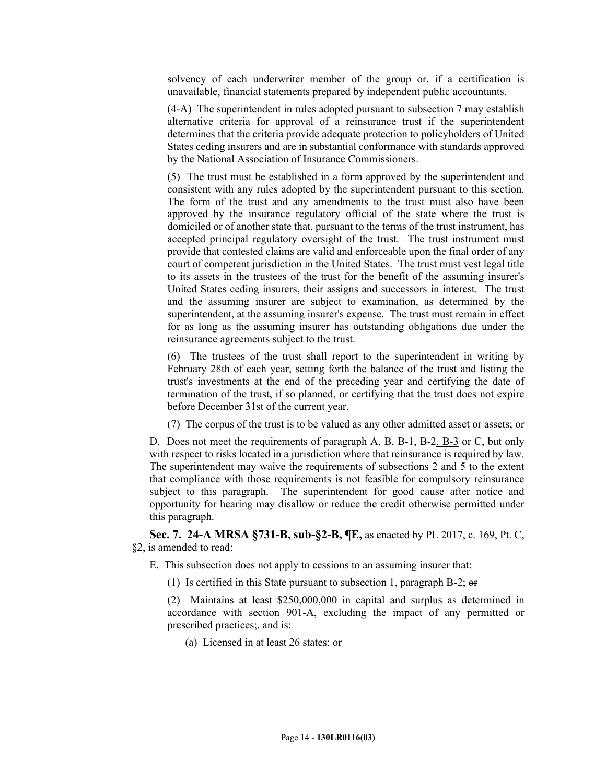solvency of each underwriter member of the group or, if a certification is unavailable, financial statements prepared by independent public accountants.

(4-A) The superintendent in rules adopted pursuant to subsection 7 may establish alternative criteria for approval of a reinsurance trust if the superintendent determines that the criteria provide adequate protection to policyholders of United States ceding insurers and are in substantial conformance with standards approved by the National Association of Insurance Commissioners.

(5) The trust must be established in a form approved by the superintendent and consistent with any rules adopted by the superintendent pursuant to this section. The form of the trust and any amendments to the trust must also have been approved by the insurance regulatory official of the state where the trust is domiciled or of another state that, pursuant to the terms of the trust instrument, has accepted principal regulatory oversight of the trust. The trust instrument must provide that contested claims are valid and enforceable upon the final order of any court of competent jurisdiction in the United States. The trust must vest legal title to its assets in the trustees of the trust for the benefit of the assuming insurer's United States ceding insurers, their assigns and successors in interest. The trust and the assuming insurer are subject to examination, as determined by the superintendent, at the assuming insurer's expense. The trust must remain in effect for as long as the assuming insurer has outstanding obligations due under the reinsurance agreements subject to the trust.

(6) The trustees of the trust shall report to the superintendent in writing by February 28th of each year, setting forth the balance of the trust and listing the trust's investments at the end of the preceding year and certifying the date of termination of the trust, if so planned, or certifying that the trust does not expire before December 31st of the current year.

(7) The corpus of the trust is to be valued as any other admitted asset or assets;  $or$ </u>

D. Does not meet the requirements of paragraph A, B, B-1, B-2, B-3 or C, but only with respect to risks located in a jurisdiction where that reinsurance is required by law. The superintendent may waive the requirements of subsections 2 and 5 to the extent that compliance with those requirements is not feasible for compulsory reinsurance subject to this paragraph. The superintendent for good cause after notice and opportunity for hearing may disallow or reduce the credit otherwise permitted under this paragraph.

**Sec. 7. 24-A MRSA §731-B, sub-§2-B, ¶E,** as enacted by PL 2017, c. 169, Pt. C, §2, is amended to read:

- E. This subsection does not apply to cessions to an assuming insurer that:
	- (1) Is certified in this State pursuant to subsection 1, paragraph B-2; or

(2) Maintains at least \$250,000,000 in capital and surplus as determined in accordance with section 901-A, excluding the impact of any permitted or prescribed practices $\frac{1}{2}$  and is:

(a) Licensed in at least 26 states; or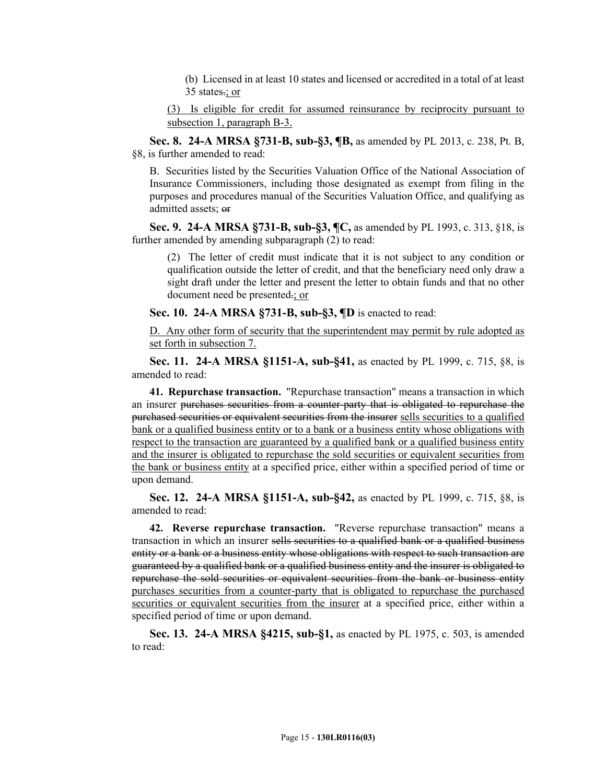(b) Licensed in at least 10 states and licensed or accredited in a total of at least 35 states.; or

(3) Is eligible for credit for assumed reinsurance by reciprocity pursuant to subsection 1, paragraph B-3.

**Sec. 8. 24-A MRSA §731-B, sub-§3, ¶B,** as amended by PL 2013, c. 238, Pt. B, §8, is further amended to read:

B. Securities listed by the Securities Valuation Office of the National Association of Insurance Commissioners, including those designated as exempt from filing in the purposes and procedures manual of the Securities Valuation Office, and qualifying as admitted assets; or

**Sec. 9. 24-A MRSA §731-B, sub-§3, ¶C,** as amended by PL 1993, c. 313, §18, is further amended by amending subparagraph (2) to read:

(2) The letter of credit must indicate that it is not subject to any condition or qualification outside the letter of credit, and that the beneficiary need only draw a sight draft under the letter and present the letter to obtain funds and that no other document need be presented.; or

**Sec. 10. 24-A MRSA §731-B, sub-§3, ¶D** is enacted to read:

D. Any other form of security that the superintendent may permit by rule adopted as set forth in subsection 7.

**Sec. 11. 24-A MRSA §1151-A, sub-§41,** as enacted by PL 1999, c. 715, §8, is amended to read:

**41. Repurchase transaction.** "Repurchase transaction" means a transaction in which an insurer purchases securities from a counter-party that is obligated to repurchase the purchased securities or equivalent securities from the insurer sells securities to a qualified bank or a qualified business entity or to a bank or a business entity whose obligations with respect to the transaction are guaranteed by a qualified bank or a qualified business entity and the insurer is obligated to repurchase the sold securities or equivalent securities from the bank or business entity at a specified price, either within a specified period of time or upon demand.

**Sec. 12. 24-A MRSA §1151-A, sub-§42,** as enacted by PL 1999, c. 715, §8, is amended to read:

**42. Reverse repurchase transaction.** "Reverse repurchase transaction" means a transaction in which an insurer sells securities to a qualified bank or a qualified business entity or a bank or a business entity whose obligations with respect to such transaction are guaranteed by a qualified bank or a qualified business entity and the insurer is obligated to repurchase the sold securities or equivalent securities from the bank or business entity purchases securities from a counter-party that is obligated to repurchase the purchased securities or equivalent securities from the insurer at a specified price, either within a specified period of time or upon demand.

**Sec. 13. 24-A MRSA §4215, sub-§1,** as enacted by PL 1975, c. 503, is amended to read: